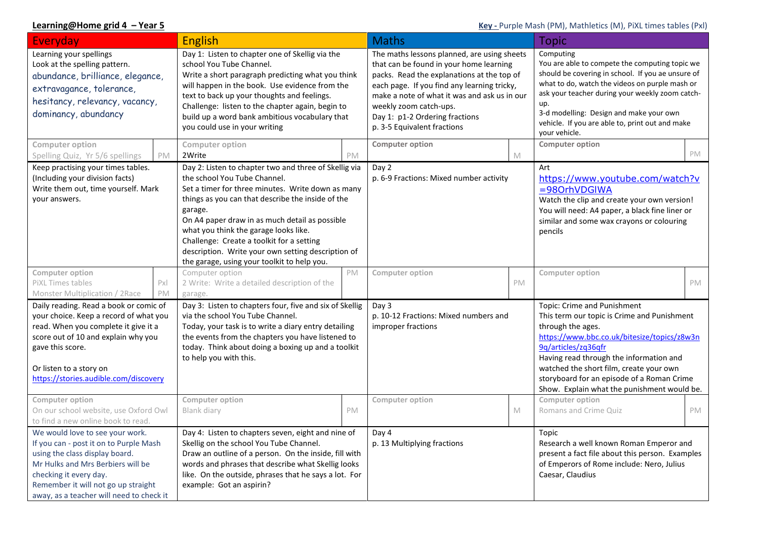## **Learning@Home grid 4 – Year 5 Company of the Company of Company of Company (PM)**, Mathletics (M), PiXL times tables (Pxl)

| Everyday                                                                                                                                                                                                                                                      |          | <b>English</b>                                                                                                                                                                                                                                                                                                                                                                                                                                          |           | <b>Maths</b>                                                                                                                                                                                                                                                                                                                   |    | <b>Topic</b>                                                                                                                                                                                                                                                                                                                                             |           |
|---------------------------------------------------------------------------------------------------------------------------------------------------------------------------------------------------------------------------------------------------------------|----------|---------------------------------------------------------------------------------------------------------------------------------------------------------------------------------------------------------------------------------------------------------------------------------------------------------------------------------------------------------------------------------------------------------------------------------------------------------|-----------|--------------------------------------------------------------------------------------------------------------------------------------------------------------------------------------------------------------------------------------------------------------------------------------------------------------------------------|----|----------------------------------------------------------------------------------------------------------------------------------------------------------------------------------------------------------------------------------------------------------------------------------------------------------------------------------------------------------|-----------|
| Learning your spellings<br>Look at the spelling pattern.<br>abundance, brilliance, elegance,<br>extravagance, tolerance,<br>hesitancy, relevancy, vacancy,<br>dominancy, abundancy                                                                            |          | Day 1: Listen to chapter one of Skellig via the<br>school You Tube Channel.<br>Write a short paragraph predicting what you think<br>will happen in the book. Use evidence from the<br>text to back up your thoughts and feelings.<br>Challenge: listen to the chapter again, begin to<br>build up a word bank ambitious vocabulary that<br>you could use in your writing                                                                                |           | The maths lessons planned, are using sheets<br>that can be found in your home learning<br>packs. Read the explanations at the top of<br>each page. If you find any learning tricky,<br>make a note of what it was and ask us in our<br>weekly zoom catch-ups.<br>Day 1: p1-2 Ordering fractions<br>p. 3-5 Equivalent fractions |    | Computing<br>You are able to compete the computing topic we<br>should be covering in school. If you ae unsure of<br>what to do, watch the videos on purple mash or<br>ask your teacher during your weekly zoom catch-<br>up.<br>3-d modelling: Design and make your own<br>vehicle. If you are able to, print out and make<br>vour vehicle.              |           |
| <b>Computer option</b><br>Spelling Quiz, Yr 5/6 spellings                                                                                                                                                                                                     | PM       | Computer option<br>2Write                                                                                                                                                                                                                                                                                                                                                                                                                               | <b>PM</b> | <b>Computer option</b>                                                                                                                                                                                                                                                                                                         | M  | <b>Computer option</b>                                                                                                                                                                                                                                                                                                                                   | PM        |
| Keep practising your times tables.<br>(Including your division facts)<br>Write them out, time yourself. Mark<br>your answers.                                                                                                                                 |          | Day 2: Listen to chapter two and three of Skellig via<br>the school You Tube Channel.<br>Set a timer for three minutes. Write down as many<br>things as you can that describe the inside of the<br>garage.<br>On A4 paper draw in as much detail as possible<br>what you think the garage looks like.<br>Challenge: Create a toolkit for a setting<br>description. Write your own setting description of<br>the garage, using your toolkit to help you. |           | Day 2<br>p. 6-9 Fractions: Mixed number activity                                                                                                                                                                                                                                                                               |    | Art<br>https://www.youtube.com/watch?v<br>=980rhVDGIWA<br>Watch the clip and create your own version!<br>You will need: A4 paper, a black fine liner or<br>similar and some wax crayons or colouring<br>pencils                                                                                                                                          |           |
| Computer option<br>PiXL Times tables<br>Monster Multiplication / 2Race                                                                                                                                                                                        | Px<br>PM | Computer option<br>2 Write: Write a detailed description of the<br>garage.                                                                                                                                                                                                                                                                                                                                                                              | PM        | Computer option                                                                                                                                                                                                                                                                                                                | PM | Computer option                                                                                                                                                                                                                                                                                                                                          | <b>PM</b> |
| Daily reading. Read a book or comic of<br>your choice. Keep a record of what you<br>read. When you complete it give it a<br>score out of 10 and explain why you<br>gave this score.<br>Or listen to a story on<br>https://stories.audible.com/discovery       |          | Day 3: Listen to chapters four, five and six of Skellig<br>via the school You Tube Channel.<br>Today, your task is to write a diary entry detailing<br>the events from the chapters you have listened to<br>today. Think about doing a boxing up and a toolkit<br>to help you with this.                                                                                                                                                                |           | Day 3<br>p. 10-12 Fractions: Mixed numbers and<br>improper fractions                                                                                                                                                                                                                                                           |    | Topic: Crime and Punishment<br>This term our topic is Crime and Punishment<br>through the ages.<br>https://www.bbc.co.uk/bitesize/topics/z8w3n<br>9q/articles/zq36qfr<br>Having read through the information and<br>watched the short film, create your own<br>storyboard for an episode of a Roman Crime<br>Show. Explain what the punishment would be. |           |
| Computer option<br>On our school website, use Oxford Owl<br>to find a new online book to read.                                                                                                                                                                |          | Computer option<br>Blank diary                                                                                                                                                                                                                                                                                                                                                                                                                          | PM        | Computer option                                                                                                                                                                                                                                                                                                                | M  | Computer option<br>Romans and Crime Quiz                                                                                                                                                                                                                                                                                                                 | <b>PM</b> |
| We would love to see your work.<br>If you can - post it on to Purple Mash<br>using the class display board.<br>Mr Hulks and Mrs Berbiers will be<br>checking it every day.<br>Remember it will not go up straight<br>away, as a teacher will need to check it |          | Day 4: Listen to chapters seven, eight and nine of<br>Skellig on the school You Tube Channel.<br>Draw an outline of a person. On the inside, fill with<br>words and phrases that describe what Skellig looks<br>like. On the outside, phrases that he says a lot. For<br>example: Got an aspirin?                                                                                                                                                       |           | Day 4<br>p. 13 Multiplying fractions                                                                                                                                                                                                                                                                                           |    | Topic<br>Research a well known Roman Emperor and<br>present a fact file about this person. Examples<br>of Emperors of Rome include: Nero, Julius<br>Caesar, Claudius                                                                                                                                                                                     |           |